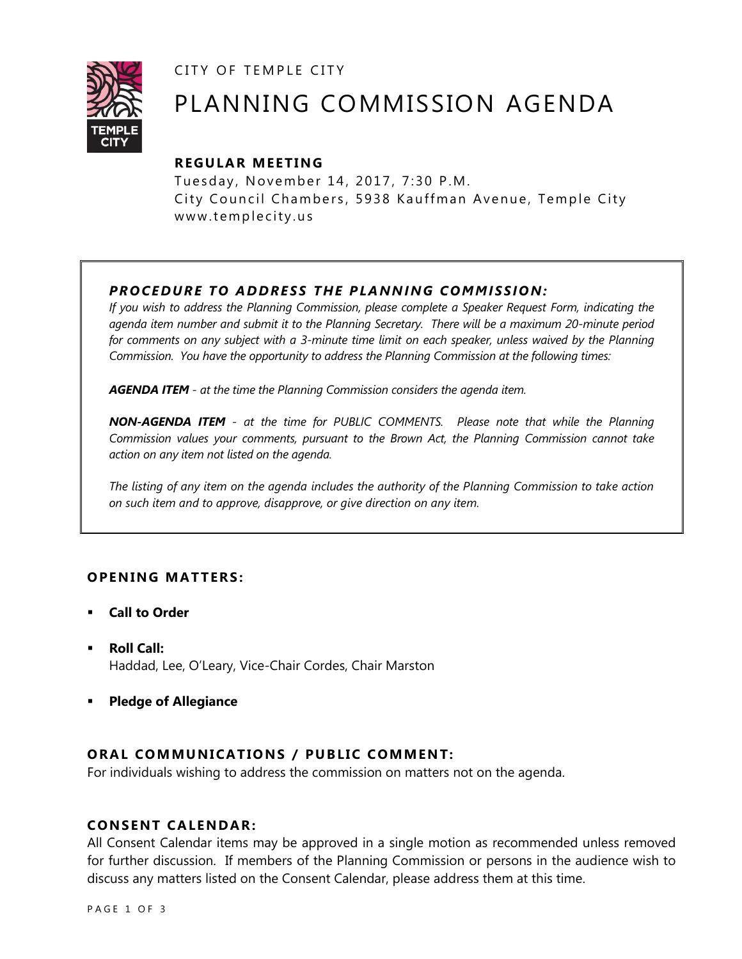CITY OF TEMPLE CITY



# PLANNING COMMISSION AGENDA

# **R EGULA R MEE TING**

Tuesday, November 14, 2017, 7:30 P.M. City Council Chambers, 5938 Kauffman Avenue, Temple City www.templecity.us

## *PRO CE DURE TO ADDRE SS THE P LA NNI NG COMM I SSION:*

*If you wish to address the Planning Commission, please complete a Speaker Request Form, indicating the agenda item number and submit it to the Planning Secretary. There will be a maximum 20-minute period*  for comments on any subject with a 3-minute time limit on each speaker, unless waived by the Planning *Commission. You have the opportunity to address the Planning Commission at the following times:*

*AGENDA ITEM - at the time the Planning Commission considers the agenda item.*

*NON-AGENDA ITEM - at the time for PUBLIC COMMENTS. Please note that while the Planning Commission values your comments, pursuant to the Brown Act, the Planning Commission cannot take action on any item not listed on the agenda.*

*The listing of any item on the agenda includes the authority of the Planning Commission to take action on such item and to approve, disapprove, or give direction on any item.*

## **OPENING MATTERS:**

- **Call to Order**
- **Roll Call:** Haddad, Lee, O'Leary, Vice-Chair Cordes, Chair Marston
- **Pledge of Allegiance**

## **ORAL COMMUNICATIONS / PUBLIC COMMENT:**

For individuals wishing to address the commission on matters not on the agenda.

## **CONSENT CA LENDAR:**

All Consent Calendar items may be approved in a single motion as recommended unless removed for further discussion. If members of the Planning Commission or persons in the audience wish to discuss any matters listed on the Consent Calendar, please address them at this time.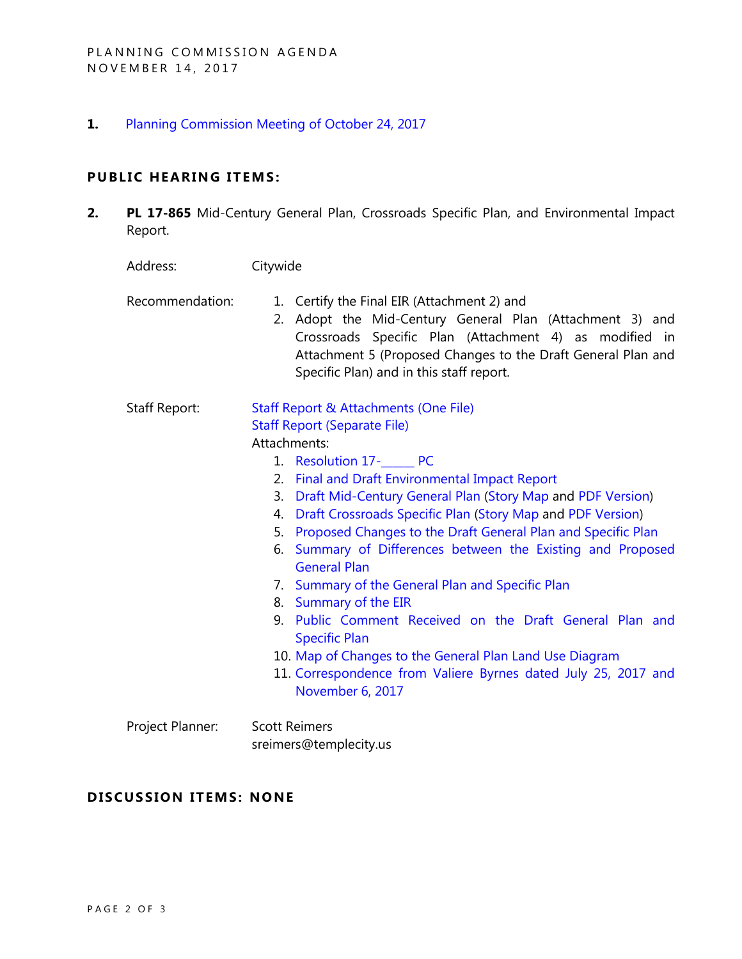**1.** [Planning Commission Meeting of October 24, 2017](http://www.ci.temple-city.ca.us/DocumentCenter/View/9407)

# **PUBLIC HEARING ITEMS:**

**2. PL 17-865** Mid-Century General Plan, Crossroads Specific Plan, and Environmental Impact Report.

| Address:         | Citywide                                                                                                                                                                                                                                                                         |
|------------------|----------------------------------------------------------------------------------------------------------------------------------------------------------------------------------------------------------------------------------------------------------------------------------|
| Recommendation:  | 1. Certify the Final EIR (Attachment 2) and<br>Adopt the Mid-Century General Plan (Attachment 3) and<br>2.<br>Crossroads Specific Plan (Attachment 4) as modified in<br>Attachment 5 (Proposed Changes to the Draft General Plan and<br>Specific Plan) and in this staff report. |
| Staff Report:    | <b>Staff Report &amp; Attachments (One File)</b>                                                                                                                                                                                                                                 |
|                  | <b>Staff Report (Separate File)</b>                                                                                                                                                                                                                                              |
|                  | Attachments:                                                                                                                                                                                                                                                                     |
|                  | 1. Resolution 17-<br>PC                                                                                                                                                                                                                                                          |
|                  | 2. Final and Draft Environmental Impact Report                                                                                                                                                                                                                                   |
|                  | Draft Mid-Century General Plan (Story Map and PDF Version)<br>3.                                                                                                                                                                                                                 |
|                  | Draft Crossroads Specific Plan (Story Map and PDF Version)<br>4.                                                                                                                                                                                                                 |
|                  | 5. Proposed Changes to the Draft General Plan and Specific Plan                                                                                                                                                                                                                  |
|                  | Summary of Differences between the Existing and Proposed<br>6.<br><b>General Plan</b>                                                                                                                                                                                            |
|                  | 7. Summary of the General Plan and Specific Plan                                                                                                                                                                                                                                 |
|                  | 8. Summary of the EIR                                                                                                                                                                                                                                                            |
|                  | 9. Public Comment Received on the Draft General Plan and<br><b>Specific Plan</b>                                                                                                                                                                                                 |
|                  | 10. Map of Changes to the General Plan Land Use Diagram                                                                                                                                                                                                                          |
|                  | 11. Correspondence from Valiere Byrnes dated July 25, 2017 and<br>November 6, 2017                                                                                                                                                                                               |
| Project Planner: | <b>Scott Reimers</b>                                                                                                                                                                                                                                                             |
|                  | sreimers@templecity.us                                                                                                                                                                                                                                                           |

# **D ISCUSSION ITEMS: NONE**